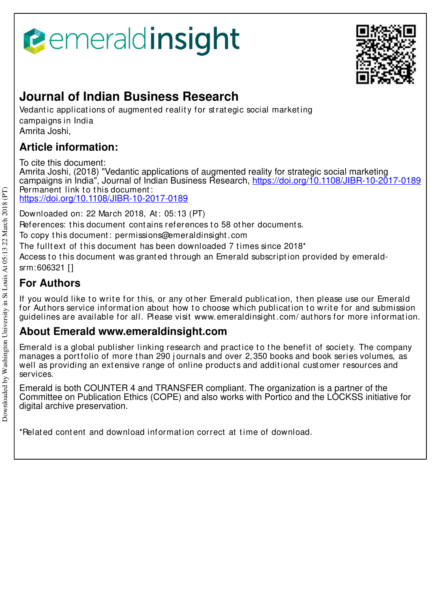# *<u><b>eemeraldinsight</u>*



# **Journal of Indian Business Research**

Vedantic applications of augmented reality for strategic social marketing campaigns in India Amrita Joshi,

# **Article information:**

To cite this document: Amrita Joshi, (2018) "Vedantic applications of augmented reality for strategic social marketing campaigns in India", Journal of Indian Business Research, https://doi.org/10.1108/JIBR-10-2017-0189 Permanent link to this document: https://doi.org/10.1108/JIBR-10-2017-0189

Downloaded on: 22 March 2018, At : 05:13 (PT)

References: this document contains references to 58 other documents.

To copy t his document : permissions@emeraldinsight .com

The fulltext of this document has been downloaded  $7$  times since  $2018$ <sup>\*</sup>

Access to this document was granted through an Emerald subscription provided by emeraldsrm:606321 []

# **For Authors**

If you would like to write for this, or any other Emerald publication, then please use our Emerald for Authors service information about how to choose which publication to write for and submission guidelines are available for all. Please visit www.emeraldinsight.com/ authors for more information.

## **About Emerald www.emeraldinsight.com**

Emerald is a global publisher linking research and practice to the benefit of society. The company manages a portfolio of more than 290 journals and over 2,350 books and book series volumes, as well as providing an extensive range of online products and additional customer resources and services.

Emerald is both COUNTER 4 and TRANSFER compliant. The organization is a partner of the Committee on Publication Ethics (COPE) and also works with Portico and the LOCKSS initiative for digital archive preservation.

\*Related content and download information correct at time of download.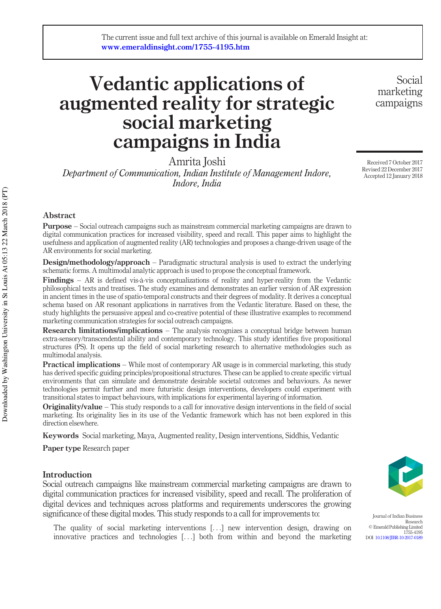# Vedantic applications of augmented reality for strategic social marketing campaigns in India

Amrita Joshi

Department of Communication, Indian Institute of Management Indore, Indore, India

## Abstract

**Purpose** – Social outreach campaigns such as mainstream commercial marketing campaigns are drawn to digital communication practices for increased visibility, speed and recall. This paper aims to highlight the usefulness and application of augmented reality (AR) technologies and proposes a change-driven usage of the AR environments for social marketing.

Design/methodology/approach – Paradigmatic structural analysis is used to extract the underlying schematic forms. A multimodal analytic approach is used to propose the conceptual framework.

Findings – AR is defined vis-à-vis conceptualizations of reality and hyper-reality from the Vedantic philosophical texts and treatises. The study examines and demonstrates an earlier version of AR expression in ancient times in the use of spatio-temporal constructs and their degrees of modality. It derives a conceptual schema based on AR resonant applications in narratives from the Vedantic literature. Based on these, the study highlights the persuasive appeal and co-creative potential of these illustrative examples to recommend marketing communication strategies for social outreach campaigns.

**Research limitations/implications** – The analysis recognizes a conceptual bridge between human extra-sensory/transcendental ability and contemporary technology. This study identifies five propositional structures (PS). It opens up the field of social marketing research to alternative methodologies such as multimodal analysis.

**Practical implications** – While most of contemporary AR usage is in commercial marketing, this study has derived specific guiding principles/propositional structures. These can be applied to create specific virtual environments that can simulate and demonstrate desirable societal outcomes and behaviours. As newer technologies permit further and more futuristic design interventions, developers could experiment with transitional states to impact behaviours, with implications for experimental layering of information.

**Originality/value** – This study responds to a call for innovative design interventions in the field of social marketing. Its originality lies in its use of the Vedantic framework which has not been explored in this direction elsewhere.

Keywords Social marketing, Maya, Augmented reality, Design interventions, Siddhis, Vedantic

Paper type Research paper

## Introduction

Social outreach campaigns like mainstream commercial marketing campaigns are drawn to digital communication practices for increased visibility, speed and recall. The proliferation of digital devices and techniques across platforms and requirements underscores the growing significance of these digital modes. This study responds to a call for improvements to:

The quality of social marketing interventions [...] new intervention design, drawing on innovative practices and technologies [...] both from within and beyond the marketing

Journal of Indian Business Research © Emerald Publishing Limited 1755-4195

DOI 10.1108/JIBR-10-2017-0189

Social marketing campaigns

Received 7 October 2017 Revised 22 December 2017 Accepted 12 January 2018

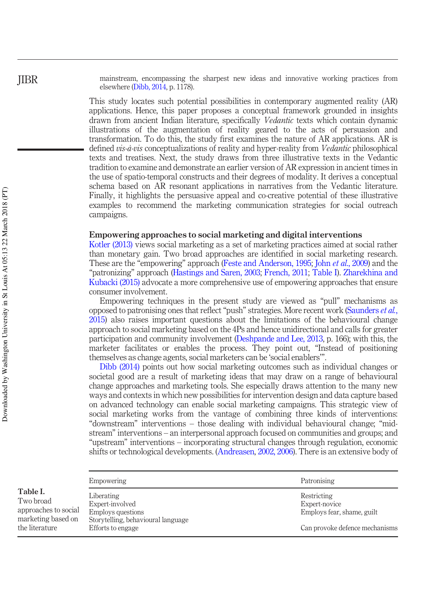mainstream, encompassing the sharpest new ideas and innovative working practices from elsewhere (Dibb, 2014, p. 1178).

This study locates such potential possibilities in contemporary augmented reality (AR) applications. Hence, this paper proposes a conceptual framework grounded in insights drawn from ancient Indian literature, specifically Vedantic texts which contain dynamic illustrations of the augmentation of reality geared to the acts of persuasion and transformation. To do this, the study first examines the nature of AR applications. AR is defined *vis-à-vis* conceptualizations of reality and hyper-reality from *Vedantic* philosophical texts and treatises. Next, the study draws from three illustrative texts in the Vedantic tradition to examine and demonstrate an earlier version of AR expression in ancient times in the use of spatio-temporal constructs and their degrees of modality. It derives a conceptual schema based on AR resonant applications in narratives from the Vedantic literature. Finally, it highlights the persuasive appeal and co-creative potential of these illustrative examples to recommend the marketing communication strategies for social outreach campaigns.

## Empowering approaches to social marketing and digital interventions

Kotler (2013) views social marketing as a set of marketing practices aimed at social rather than monetary gain. Two broad approaches are identified in social marketing research. These are the "empowering" approach (Feste and Anderson, 1995; John et al., 2009) and the "patronizing" approach (Hastings and Saren, 2003; French, 2011; Table I). Zharekhina and Kubacki (2015) advocate a more comprehensive use of empowering approaches that ensure consumer involvement.

Empowering techniques in the present study are viewed as "pull" mechanisms as opposed to patronising ones that reflect "push" strategies. More recent work (Saunders et al., 2015) also raises important questions about the limitations of the behavioural change approach to social marketing based on the 4Ps and hence unidirectional and calls for greater participation and community involvement (Deshpande and Lee, 2013, p. 166); with this, the marketer facilitates or enables the process. They point out, "Instead of positioning themselves as change agents, social marketers can be 'social enablers'".

Dibb (2014) points out how social marketing outcomes such as individual changes or societal good are a result of marketing ideas that may draw on a range of behavioural change approaches and marketing tools. She especially draws attention to the many new ways and contexts in which new possibilities for intervention design and data capture based on advanced technology can enable social marketing campaigns. This strategic view of social marketing works from the vantage of combining three kinds of interventions: "downstream" interventions – those dealing with individual behavioural change; "midstream" interventions – an interpersonal approach focused on communities and groups; and "upstream" interventions – incorporating structural changes through regulation, economic shifts or technological developments. (Andreasen, 2002, 2006). There is an extensive body of

|                                                                            | Empowering                                                                               | Patronising                                                |  |
|----------------------------------------------------------------------------|------------------------------------------------------------------------------------------|------------------------------------------------------------|--|
| <b>Table I.</b><br>Two broad<br>approaches to social<br>marketing based on | Liberating<br>Expert-involved<br>Employs questions<br>Storytelling, behavioural language | Restricting<br>Expert-novice<br>Employs fear, shame, guilt |  |
| the literature                                                             | Efforts to engage                                                                        | Can provoke defence mechanisms                             |  |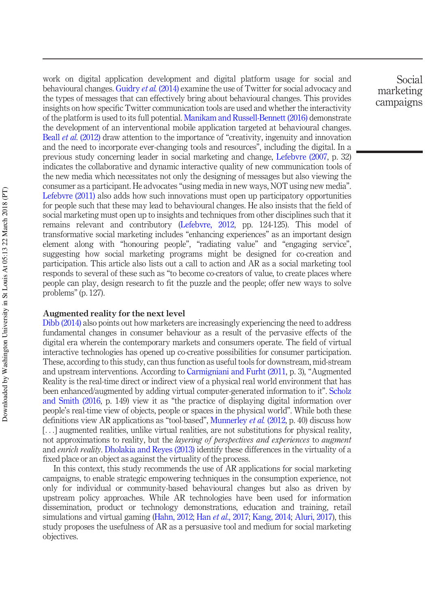work on digital application development and digital platform usage for social and behavioural changes. Guidry *et al.* (2014) examine the use of Twitter for social advocacy and the types of messages that can effectively bring about behavioural changes. This provides insights on how specific Twitter communication tools are used and whether the interactivity of the platform is used to its full potential. Manikam and Russell-Bennett (2016) demonstrate the development of an interventional mobile application targeted at behavioural changes. Beall *et al.* (2012) draw attention to the importance of "creativity, ingenuity and innovation and the need to incorporate ever-changing tools and resources", including the digital. In a previous study concerning leader in social marketing and change, Lefebvre (2007, p. 32) indicates the collaborative and dynamic interactive quality of new communication tools of the new media which necessitates not only the designing of messages but also viewing the consumer as a participant. He advocates "using media in new ways, NOT using new media". Lefebvre (2011) also adds how such innovations must open up participatory opportunities for people such that these may lead to behavioural changes. He also insists that the field of social marketing must open up to insights and techniques from other disciplines such that it remains relevant and contributory (Lefebvre, 2012, pp. 124-125). This model of transformative social marketing includes "enhancing experiences" as an important design element along with "honouring people", "radiating value" and "engaging service", suggesting how social marketing programs might be designed for co-creation and participation. This article also lists out a call to action and AR as a social marketing tool responds to several of these such as "to become co-creators of value, to create places where people can play, design research to fit the puzzle and the people; offer new ways to solve problems" (p. 127).

## Augmented reality for the next level

Dibb (2014) also points out how marketers are increasingly experiencing the need to address fundamental changes in consumer behaviour as a result of the pervasive effects of the digital era wherein the contemporary markets and consumers operate. The field of virtual interactive technologies has opened up co-creative possibilities for consumer participation. These, according to this study, can thus function as useful tools for downstream, mid-stream and upstream interventions. According to Carmigniani and Furht (2011, p. 3), "Augmented Reality is the real-time direct or indirect view of a physical real world environment that has been enhanced/augmented by adding virtual computer-generated information to it". Scholz and Smith (2016, p. 149) view it as "the practice of displaying digital information over people's real-time view of objects, people or spaces in the physical world". While both these definitions view AR applications as "tool-based", Munnerley et al. (2012, p. 40) discuss how [...] augmented realities, unlike virtual realities, are not substitutions for physical reality, not approximations to reality, but the *layering of perspectives and experiences* to *augment* and *enrich reality*. Dholakia and Reyes (2013) identify these differences in the virtuality of a fixed place or an object as against the virtuality of the process.

In this context, this study recommends the use of AR applications for social marketing campaigns, to enable strategic empowering techniques in the consumption experience, not only for individual or community-based behavioural changes but also as driven by upstream policy approaches. While AR technologies have been used for information dissemination, product or technology demonstrations, education and training, retail simulations and virtual gaming (Hahn, 2012; Han *et al.*, 2017; Kang, 2014; Aluri, 2017), this study proposes the usefulness of AR as a persuasive tool and medium for social marketing objectives.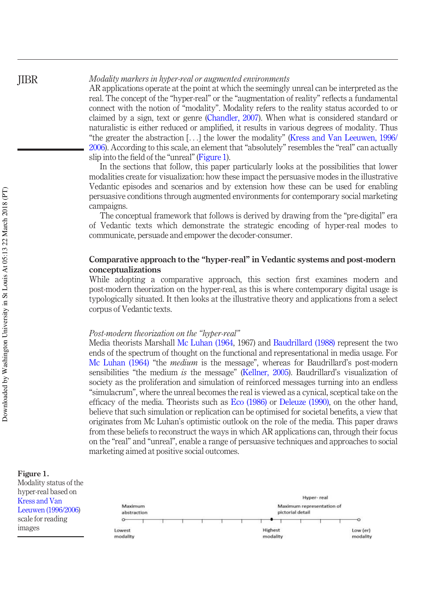## Modality markers in hyper-real or augmented environments

AR applications operate at the point at which the seemingly unreal can be interpreted as the real. The concept of the "hyper-real" or the "augmentation of reality" reflects a fundamental connect with the notion of "modality". Modality refers to the reality status accorded to or claimed by a sign, text or genre (Chandler, 2007). When what is considered standard or naturalistic is either reduced or amplified, it results in various degrees of modality. Thus "the greater the abstraction [...] the lower the modality" (Kress and Van Leeuwen, 1996/ 2006). According to this scale, an element that "absolutely" resembles the "real" can actually slip into the field of the "unreal" (Figure 1).

In the sections that follow, this paper particularly looks at the possibilities that lower modalities create for visualization: how these impact the persuasive modes in the illustrative Vedantic episodes and scenarios and by extension how these can be used for enabling persuasive conditions through augmented environments for contemporary social marketing campaigns.

The conceptual framework that follows is derived by drawing from the "pre-digital" era of Vedantic texts which demonstrate the strategic encoding of hyper-real modes to communicate, persuade and empower the decoder-consumer.

## Comparative approach to the "hyper-real" in Vedantic systems and post-modern conceptualizations

While adopting a comparative approach, this section first examines modern and post-modern theorization on the hyper-real, as this is where contemporary digital usage is typologically situated. It then looks at the illustrative theory and applications from a select corpus of Vedantic texts.

## Post-modern theorization on the "hyper-real"

Media theorists Marshall Mc Luhan (1964, 1967) and Baudrillard (1988) represent the two ends of the spectrum of thought on the functional and representational in media usage. For Mc Luhan (1964) "the *medium* is the message", whereas for Baudrillard's post-modern sensibilities "the medium is the message" (Kellner, 2005). Baudrillard's visualization of society as the proliferation and simulation of reinforced messages turning into an endless "simulacrum", where the unreal becomes the real is viewed as a cynical, sceptical take on the efficacy of the media. Theorists such as Eco (1986) or Deleuze (1990), on the other hand, believe that such simulation or replication can be optimised for societal benefits, a view that originates from Mc Luhan's optimistic outlook on the role of the media. This paper draws from these beliefs to reconstruct the ways in which AR applications can, through their focus on the "real" and "unreal", enable a range of persuasive techniques and approaches to social marketing aimed at positive social outcomes.

Figure 1. Modality status of the hyper-real based on Kress and Van Leeuwen (1996/2006) scale for reading images

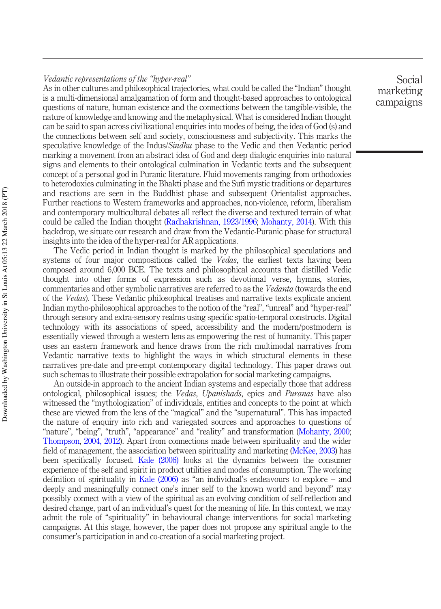## Vedantic representations of the "hyper-real"

As in other cultures and philosophical trajectories, what could be called the "Indian" thought is a multi-dimensional amalgamation of form and thought-based approaches to ontological questions of nature, human existence and the connections between the tangible-visible, the nature of knowledge and knowing and the metaphysical. What is considered Indian thought can be said to span across civilizational enquiries into modes of being, the idea of God (s) and the connections between self and society, consciousness and subjectivity. This marks the speculative knowledge of the Indus/Sindhu phase to the Vedic and then Vedantic period marking a movement from an abstract idea of God and deep dialogic enquiries into natural signs and elements to their ontological culmination in Vedantic texts and the subsequent concept of a personal god in Puranic literature. Fluid movements ranging from orthodoxies to heterodoxies culminating in the Bhakti phase and the Sufi mystic traditions or departures and reactions are seen in the Buddhist phase and subsequent Orientalist approaches. Further reactions to Western frameworks and approaches, non-violence, reform, liberalism and contemporary multicultural debates all reflect the diverse and textured terrain of what could be called the Indian thought (Radhakrishnan, 1923/1996; Mohanty, 2014). With this backdrop, we situate our research and draw from the Vedantic-Puranic phase for structural insights into the idea of the hyper-real for AR applications.

The Vedic period in Indian thought is marked by the philosophical speculations and systems of four major compositions called the *Vedas*, the earliest texts having been composed around 6,000 BCE. The texts and philosophical accounts that distilled Vedic thought into other forms of expression such as devotional verse, hymns, stories, commentaries and other symbolic narratives are referred to as the Vedanta (towards the end of the Vedas). These Vedantic philosophical treatises and narrative texts explicate ancient Indian mytho-philosophical approaches to the notion of the "real", "unreal" and "hyper-real" through sensory and extra-sensory realms using specific spatio-temporal constructs. Digital technology with its associations of speed, accessibility and the modern/postmodern is essentially viewed through a western lens as empowering the rest of humanity. This paper uses an eastern framework and hence draws from the rich multimodal narratives from Vedantic narrative texts to highlight the ways in which structural elements in these narratives pre-date and pre-empt contemporary digital technology. This paper draws out such schemas to illustrate their possible extrapolation for social marketing campaigns.

An outside-in approach to the ancient Indian systems and especially those that address ontological, philosophical issues; the Vedas, Upanishads, epics and Puranas have also witnessed the "mythologization" of individuals, entities and concepts to the point at which these are viewed from the lens of the "magical" and the "supernatural". This has impacted the nature of enquiry into rich and variegated sources and approaches to questions of "nature", "being", "truth", "appearance" and "reality" and transformation (Mohanty, 2000; Thompson, 2004, 2012). Apart from connections made between spirituality and the wider field of management, the association between spirituality and marketing (McKee, 2003) has been specifically focused. Kale (2006) looks at the dynamics between the consumer experience of the self and spirit in product utilities and modes of consumption. The working definition of spirituality in Kale (2006) as "an individual's endeavours to explore – and deeply and meaningfully connect one's inner self to the known world and beyond" may possibly connect with a view of the spiritual as an evolving condition of self-reflection and desired change, part of an individual's quest for the meaning of life. In this context, we may admit the role of "spirituality" in behavioural change interventions for social marketing campaigns. At this stage, however, the paper does not propose any spiritual angle to the consumer's participation in and co-creation of a social marketing project.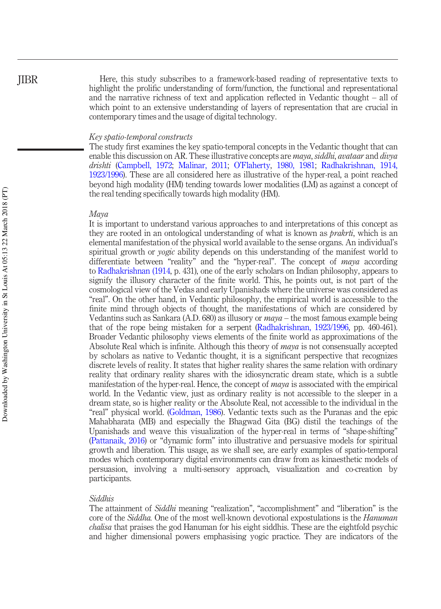## Here, this study subscribes to a framework-based reading of representative texts to highlight the prolific understanding of form/function, the functional and representational and the narrative richness of text and application reflected in Vedantic thought – all of which point to an extensive understanding of layers of representation that are crucial in contemporary times and the usage of digital technology.

## Key spatio-temporal constructs

The study first examines the key spatio-temporal concepts in the Vedantic thought that can enable this discussion on AR. These illustrative concepts are *maya*, *siddhi, avataar* and *divya* drishti (Campbell, 1972; Malinar, 2011; O'Flaherty, 1980, 1981; Radhakrishnan, 1914, 1923/1996). These are all considered here as illustrative of the hyper-real, a point reached beyond high modality (HM) tending towards lower modalities (LM) as against a concept of the real tending specifically towards high modality (HM).

## Maya

It is important to understand various approaches to and interpretations of this concept as they are rooted in an ontological understanding of what is known as *prakrti*, which is an elemental manifestation of the physical world available to the sense organs. An individual's spiritual growth or *yogic* ability depends on this understanding of the manifest world to differentiate between "reality" and the "hyper-real". The concept of maya according to Radhakrishnan (1914, p. 431), one of the early scholars on Indian philosophy, appears to signify the illusory character of the finite world. This, he points out, is not part of the cosmological view of the Vedas and early Upanishads where the universe was considered as "real". On the other hand, in Vedantic philosophy, the empirical world is accessible to the finite mind through objects of thought, the manifestations of which are considered by Vedantins such as Sankara (A.D. 680) as illusory or  $maya$  – the most famous example being that of the rope being mistaken for a serpent (Radhakrishnan, 1923/1996, pp. 460-461). Broader Vedantic philosophy views elements of the finite world as approximations of the Absolute Real which is infinite. Although this theory of *maya* is not consensually accepted by scholars as native to Vedantic thought, it is a significant perspective that recognizes discrete levels of reality. It states that higher reality shares the same relation with ordinary reality that ordinary reality shares with the idiosyncratic dream state, which is a subtle manifestation of the hyper-real. Hence, the concept of *maya* is associated with the empirical world. In the Vedantic view, just as ordinary reality is not accessible to the sleeper in a dream state, so is higher reality or the Absolute Real, not accessible to the individual in the "real" physical world. (Goldman, 1986). Vedantic texts such as the Puranas and the epic Mahabharata (MB) and especially the Bhagwad Gita (BG) distil the teachings of the Upanishads and weave this visualization of the hyper-real in terms of "shape-shifting" (Pattanaik, 2016) or "dynamic form" into illustrative and persuasive models for spiritual growth and liberation. This usage, as we shall see, are early examples of spatio-temporal modes which contemporary digital environments can draw from as kinaesthetic models of persuasion, involving a multi-sensory approach, visualization and co-creation by participants.

## Siddhis

The attainment of Siddhi meaning "realization", "accomplishment" and "liberation" is the core of the *Siddha*. One of the most well-known devotional expostulations is the *Hanuman* chalisa that praises the god Hanuman for his eight siddhis. These are the eightfold psychic and higher dimensional powers emphasising yogic practice. They are indicators of the

## JIBR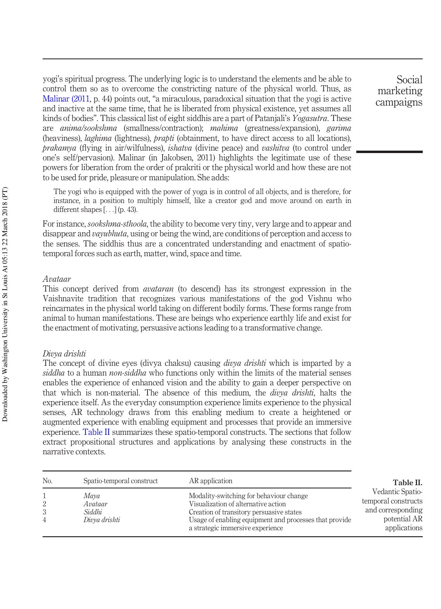yogi's spiritual progress. The underlying logic is to understand the elements and be able to control them so as to overcome the constricting nature of the physical world. Thus, as Malinar (2011, p. 44) points out, "a miraculous, paradoxical situation that the yogi is active and inactive at the same time, that he is liberated from physical existence, yet assumes all kinds of bodies". This classical list of eight siddhis are a part of Patanjali's Yogasutra. These are anima/sookshma (smallness/contraction); mahima (greatness/expansion), garima (heaviness), *laghima* (lightness), *prapti* (obtainment, to have direct access to all locations), prakamya (flying in air/wilfulness), ishatva (divine peace) and vashitva (to control under one's self/pervasion). Malinar (in Jakobsen, 2011) highlights the legitimate use of these powers for liberation from the order of prakriti or the physical world and how these are not to be used for pride, pleasure or manipulation. She adds:

The yogi who is equipped with the power of yoga is in control of all objects, and is therefore, for instance, in a position to multiply himself, like a creator god and move around on earth in different shapes [...] (p. 43).

For instance, *sookshma-sthoola*, the ability to become very tiny, very large and to appear and disappear and *vayubhuta*, using or being the wind, are conditions of perception and access to the senses. The siddhis thus are a concentrated understanding and enactment of spatiotemporal forces such as earth, matter, wind, space and time.

## Avataar

This concept derived from *avataran* (to descend) has its strongest expression in the Vaishnavite tradition that recognizes various manifestations of the god Vishnu who reincarnates in the physical world taking on different bodily forms. These forms range from animal to human manifestations. These are beings who experience earthly life and exist for the enactment of motivating, persuasive actions leading to a transformative change.

## Divya drishti

The concept of divine eyes (divya chaksu) causing *divya drishti* which is imparted by a siddha to a human *non-siddha* who functions only within the limits of the material senses enables the experience of enhanced vision and the ability to gain a deeper perspective on that which is non-material. The absence of this medium, the divya drishti, halts the experience itself. As the everyday consumption experience limits experience to the physical senses, AR technology draws from this enabling medium to create a heightened or augmented experience with enabling equipment and processes that provide an immersive experience. Table II summarizes these spatio-temporal constructs. The sections that follow extract propositional structures and applications by analysing these constructs in the narrative contexts.

| N <sub>o</sub>           | Spatio-temporal construct                  | AR application                                                                                                                                                                                                           | Table II.                                                                                    |
|--------------------------|--------------------------------------------|--------------------------------------------------------------------------------------------------------------------------------------------------------------------------------------------------------------------------|----------------------------------------------------------------------------------------------|
| 2<br>3<br>$\overline{4}$ | Maya<br>Avataar<br>Siddhi<br>Divya drishti | Modality-switching for behaviour change<br>Visualization of alternative action<br>Creation of transitory persuasive states<br>Usage of enabling equipment and processes that provide<br>a strategic immersive experience | Vedantic Spatio-<br>temporal constructs<br>and corresponding<br>potential AR<br>applications |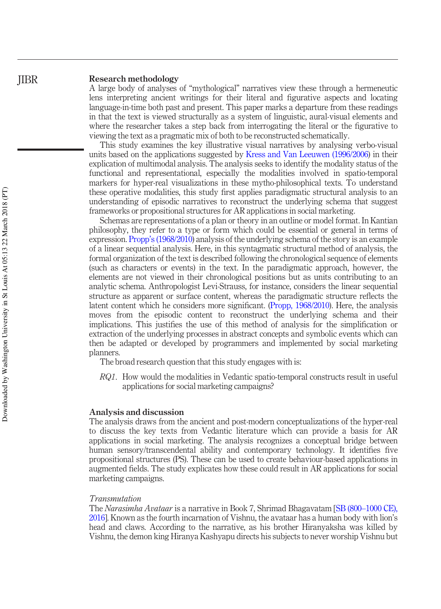#### Research methodology JIBR

A large body of analyses of "mythological" narratives view these through a hermeneutic lens interpreting ancient writings for their literal and figurative aspects and locating language-in-time both past and present. This paper marks a departure from these readings in that the text is viewed structurally as a system of linguistic, aural-visual elements and where the researcher takes a step back from interrogating the literal or the figurative to viewing the text as a pragmatic mix of both to be reconstructed schematically.

This study examines the key illustrative visual narratives by analysing verbo-visual units based on the applications suggested by Kress and Van Leeuwen (1996/2006) in their explication of multimodal analysis. The analysis seeks to identify the modality status of the functional and representational, especially the modalities involved in spatio-temporal markers for hyper-real visualizations in these mytho-philosophical texts. To understand these operative modalities, this study first applies paradigmatic structural analysis to an understanding of episodic narratives to reconstruct the underlying schema that suggest frameworks or propositional structures for AR applications in social marketing.

Schemas are representations of a plan or theory in an outline or model format. In Kantian philosophy, they refer to a type or form which could be essential or general in terms of expression. Propp's (1968/2010) analysis of the underlying schema of the story is an example of a linear sequential analysis. Here, in this syntagmatic structural method of analysis, the formal organization of the text is described following the chronological sequence of elements (such as characters or events) in the text. In the paradigmatic approach, however, the elements are not viewed in their chronological positions but as units contributing to an analytic schema. Anthropologist Levi-Strauss, for instance, considers the linear sequential structure as apparent or surface content, whereas the paradigmatic structure reflects the latent content which he considers more significant. (Propp, 1968/2010). Here, the analysis moves from the episodic content to reconstruct the underlying schema and their implications. This justifies the use of this method of analysis for the simplification or extraction of the underlying processes in abstract concepts and symbolic events which can then be adapted or developed by programmers and implemented by social marketing planners.

The broad research question that this study engages with is:

RQ1. How would the modalities in Vedantic spatio-temporal constructs result in useful applications for social marketing campaigns?

## Analysis and discussion

The analysis draws from the ancient and post-modern conceptualizations of the hyper-real to discuss the key texts from Vedantic literature which can provide a basis for AR applications in social marketing. The analysis recognizes a conceptual bridge between human sensory/transcendental ability and contemporary technology. It identifies five propositional structures (PS). These can be used to create behaviour-based applications in augmented fields. The study explicates how these could result in AR applications for social marketing campaigns.

### Transmutation

The Narasimha Avataar is a narrative in Book 7, Shrimad Bhagavatam [SB (800-1000 CE), 2016]. Known as the fourth incarnation of Vishnu, the avataar has a human body with lion's head and claws. According to the narrative, as his brother Hiranyaksha was killed by Vishnu, the demon king Hiranya Kashyapu directs his subjects to never worship Vishnu but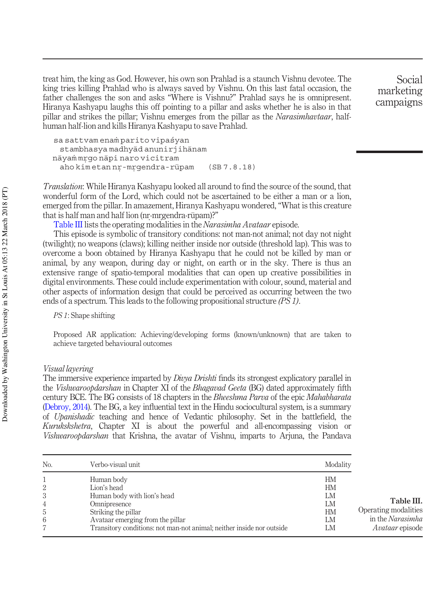treat him, the king as God. However, his own son Prahlad is a staunch Vishnu devotee. The king tries killing Prahlad who is always saved by Vishnu. On this last fatal occasion, the father challenges the son and asks "Where is Vishnu?" Prahlad says he is omnipresent. Hiranya Kashyapu laughs this off pointing to a pillar and asks whether he is also in that pillar and strikes the pillar; Vishnu emerges from the pillar as the Narasimhavtaar, halfhuman half-lion and kills Hiranya Kashyapu to save Prahlad.

marketing campaigns

Social

```
sa sattvam enam parito vipaśyan
 stambhasya madhyad anunirjih anam
nāyam mrgo nāpi naro vicitram
 _
aho kim etan n
_
r-m
_
rgendra-rupam (SB 7.8.18)
```
Translation: While Hiranya Kashyapu looked all around to find the source of the sound, that wonderful form of the Lord, which could not be ascertained to be either a man or a lion, emerged from the pillar. In amazement, Hiranya Kashyapu wondered, "What is this creature that is half man and half lion (nr-mrgendra-rūpam)?"

Table III lists the operating modalities in the *Narasimha Avataar* episode.

This episode is symbolic of transitory conditions: not man-not animal; not day not night (twilight); no weapons (claws); killing neither inside nor outside (threshold lap). This was to overcome a boon obtained by Hiranya Kashyapu that he could not be killed by man or animal, by any weapon, during day or night, on earth or in the sky. There is thus an extensive range of spatio-temporal modalities that can open up creative possibilities in digital environments. These could include experimentation with colour, sound, material and other aspects of information design that could be perceived as occurring between the two ends of a spectrum. This leads to the following propositional structure (PS 1).

PS 1: Shape shifting

Proposed AR application: Achieving/developing forms (known/unknown) that are taken to achieve targeted behavioural outcomes

## Visual layering

The immersive experience imparted by *Divya Drishti* finds its strongest explicatory parallel in the *Vishwaroopdarshan* in Chapter XI of the *Bhagavad Geeta* (BG) dated approximately fifth century BCE. The BG consists of 18 chapters in the Bheeshma Parva of the epic Mahabharata (Debroy, 2014). The BG, a key influential text in the Hindu sociocultural system, is a summary of Upanishadic teaching and hence of Vedantic philosophy. Set in the battlefield, the Kurukskshetra, Chapter XI is about the powerful and all-encompassing vision or Vishwaroopdarshan that Krishna, the avatar of Vishnu, imparts to Arjuna, the Pandava

| N <sub>o</sub>                     | Verbo-visual unit                                                                                                                                                                                            | Modality                               |                                                                           |
|------------------------------------|--------------------------------------------------------------------------------------------------------------------------------------------------------------------------------------------------------------|----------------------------------------|---------------------------------------------------------------------------|
| 2<br>3<br>$\overline{4}$<br>5<br>6 | Human body<br>Lion's head<br>Human body with lion's head<br>Omnipresence<br>Striking the pillar<br>Avataar emerging from the pillar<br>Transitory conditions: not man-not animal; neither inside nor outside | HM<br>HM<br>LM<br>LM<br>HM<br>LM<br>LM | Table III.<br>Operating modalities<br>in the Narasimha<br>Avataar episode |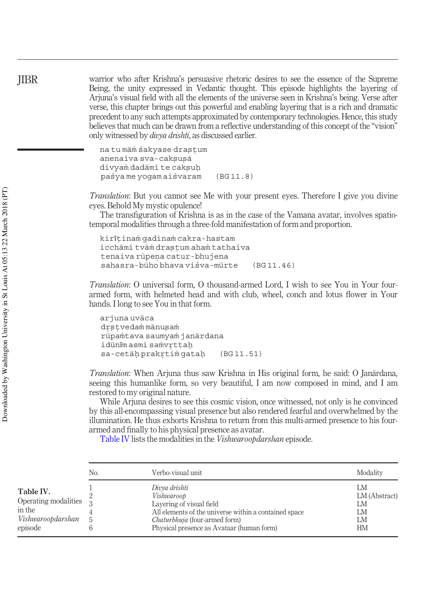warrior who after Krishna's persuasive rhetoric desires to see the essence of the Supreme Being, the unity expressed in Vedantic thought. This episode highlights the layering of Arjuna's visual field with all the elements of the universe seen in Krishna's being. Verse after verse, this chapter brings out this powerful and enabling layering that is a rich and dramatic precedent to any such attempts approximated by contemporary technologies. Hence, this study believes that much can be drawn from a reflective understanding of this concept of the "vision" only witnessed by *divya drishti*, as discussed earlier.

na tu mām śakyase drastum anenaiva sva-cak su sa divyam dadāmi te caksuh paśya me yogam aiśvaram (BG 11.8)

Translation: But you cannot see Me with your present eyes. Therefore I give you divine eyes. Behold My mystic opulence!

The transfiguration of Krishna is as in the case of the Vamana avatar, involves spatiotemporal modalities through a three-fold manifestation of form and proportion.

```
kirīținam gadinam cakra-hastam
icchamitvam drastum aham tathaiva
tenaiva rūpeņa catur-bhujena
cenarva rupeņa eacur Dnuje<br>sahasra-būho bhava viśva-m
                                          (BG11.46)
```
Translation: O universal form, O thousand-armed Lord, I wish to see You in Your fourarmed form, with helmeted head and with club, wheel, conch and lotus flower in Your hands. I long to see You in that form.

```
arjuna uvaca 
drstvedammānusam
uisiveaam manusam<br>rūpamtava saumyam janārdana
idūnīm asmi samvrttah
rdanma bam radiotecan<br>sa-cetāḥ prakṛtim gata!
                                      (BG11.51)
```
Translation: When Arjuna thus saw Krishna in His original form, he said: O Janardana, seeing this humanlike form, so very beautiful, I am now composed in mind, and I am restored to my original nature.

While Arjuna desires to see this cosmic vision, once witnessed, not only is he convinced by this all-encompassing visual presence but also rendered fearful and overwhelmed by the illumination. He thus exhorts Krishna to return from this multi-armed presence to his fourarmed and finally to his physical presence as avatar.

Table IV lists the modalities in the Vishwaroopdarshan episode.

|                                                                             | No.      | Verbo-visual unit                                                                                                                                                                              | Modality                                    |
|-----------------------------------------------------------------------------|----------|------------------------------------------------------------------------------------------------------------------------------------------------------------------------------------------------|---------------------------------------------|
| Table IV.<br>Operating modalities<br>in the<br>Vishwaroopdarshan<br>episode | $\Omega$ | Divya drishti<br>Vishwaroop<br>Layering of visual field<br>All elements of the universe within a contained space<br>Chaturbhuja (four-armed form)<br>Physical presence as Avataar (human form) | LM<br>LM (Abstract)<br>LM<br>LM<br>LM<br>HM |

JIBR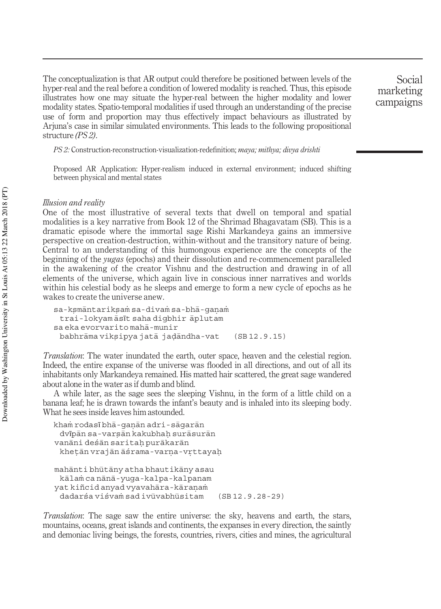The conceptualization is that AR output could therefore be positioned between levels of the hyper-real and the real before a condition of lowered modality is reached. Thus, this episode illustrates how one may situate the hyper-real between the higher modality and lower modality states. Spatio-temporal modalities if used through an understanding of the precise use of form and proportion may thus effectively impact behaviours as illustrated by Arjuna's case in similar simulated environments. This leads to the following propositional structure (PS 2).

Social marketing campaigns

PS 2: Construction-reconstruction-visualization-redefinition; maya; mithya; divya drishti

Proposed AR Application: Hyper-realism induced in external environment; induced shifting between physical and mental states

## Illusion and reality

One of the most illustrative of several texts that dwell on temporal and spatial modalities is a key narrative from Book 12 of the Shrimad Bhagavatam (SB). This is a dramatic episode where the immortal sage Rishi Markandeya gains an immersive perspective on creation-destruction, within-without and the transitory nature of being. Central to an understanding of this humongous experience are the concepts of the beginning of the *yugas* (epochs) and their dissolution and re-commencement paralleled in the awakening of the creator Vishnu and the destruction and drawing in of all elements of the universe, which again live in conscious inner narratives and worlds within his celestial body as he sleeps and emerge to form a new cycle of epochs as he wakes to create the universe anew.

```
sa-ksmāntariksam sa-divam sa-bhā-ganam
 _
trai-lokyam as īt saha digbhir aplutam 
sa eka evorvarito maha-munir 
 babhrāma viksipya jatā ja<mark>c</mark>
                                              (SB 12.9.15)
```
Translation: The water inundated the earth, outer space, heaven and the celestial region. Indeed, the entire expanse of the universe was flooded in all directions, and out of all its inhabitants only Markandeya remained. His matted hair scattered, the great sage wandered about alone in the water as if dumb and blind.

A while later, as the sage sees the sleeping Vishnu, in the form of a little child on a banana leaf; he is drawn towards the infant's beauty and is inhaled into its sleeping body. What he sees inside leaves him astounded.

```
khaṁ rodasī bhā-gaṇān adri-sāgarān
 nam rodası bila "ganan adri" sagaran<br>dvīpān sa-varsān kakubhaḥ surāsurān
vanāni deśān saritah purākarān
 khetān vrajān āśrama-varna-vrttayah
mahānti bhūtāny atha bhautikāny asau
 kālam ca nānā-yuga-kalpa-kalpanam
yat kiñcid anyad vyavahāra-kāranam
 ackincia anyaa vyavanara karanam.<br>dadarśa viśvam sad ivūvabhūsitam (SB12.9.28-29)
```
Translation: The sage saw the entire universe: the sky, heavens and earth, the stars, mountains, oceans, great islands and continents, the expanses in every direction, the saintly and demoniac living beings, the forests, countries, rivers, cities and mines, the agricultural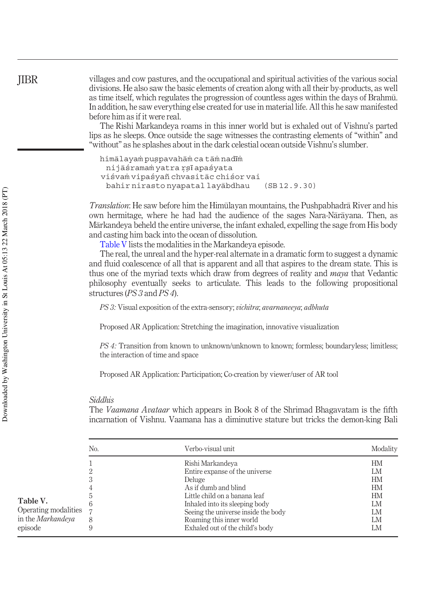villages and cow pastures, and the occupational and spiritual activities of the various social divisions. He also saw the basic elements of creation along with all their by-products, as well as time itself, which regulates the progression of countless ages within the days of Brahmu. In addition, he saw everything else created for use in material life. All this he saw manifested before him as if it were real.

The Rishi Markandeya roams in this inner world but is exhaled out of Vishnu's parted lips as he sleeps. Once outside the sage witnesses the contrasting elements of "within" and "without" as he splashes about in the dark celestial ocean outside Vishnu's slumber.

```
himālayam puspavahām ca tām nadīm
 nijāśramam yatra rsī apaśyata
n jastamam yacra işrapasyaca<br>viśvam vipaśyañ chvasitāc chiśor vai
 bahir nirasto nyapatal layabdhau (SB 12.9.30)
```
*Translation*: He saw before him the Himulayan mountains, the Pushpabhadra River and his own hermitage, where he had had the audience of the sages Nara-Narayana. Then, as Markandeya beheld the entire universe, the infant exhaled, expelling the sage from His body and casting him back into the ocean of dissolution.

Table V lists the modalities in the Markandeya episode.

The real, the unreal and the hyper-real alternate in a dramatic form to suggest a dynamic and fluid coalescence of all that is apparent and all that aspires to the dream state. This is thus one of the myriad texts which draw from degrees of reality and *maya* that Vedantic philosophy eventually seeks to articulate. This leads to the following propositional structures (PS 3 and PS 4).

PS 3: Visual exposition of the extra-sensory; vichitra; avarnaneeya; adbhuta

Proposed AR Application: Stretching the imagination, innovative visualization

PS 4: Transition from known to unknown/unknown to known; formless; boundaryless; limitless; the interaction of time and space

Proposed AR Application: Participation; Co-creation by viewer/user of AR tool

## Siddhis

The Vaamana Avataar which appears in Book 8 of the Shrimad Bhagavatam is the fifth incarnation of Vishnu. Vaamana has a diminutive stature but tricks the demon-king Bali

|                                                                  | No.    | Verbo-visual unit                                                                                                                                                                                                                                             | Modality                                           |
|------------------------------------------------------------------|--------|---------------------------------------------------------------------------------------------------------------------------------------------------------------------------------------------------------------------------------------------------------------|----------------------------------------------------|
| Table V.<br>Operating modalities<br>in the Markandeva<br>episode | 8<br>9 | Rishi Markandeya<br>Entire expanse of the universe<br>Deluge<br>As if dumb and blind<br>Little child on a banana leaf<br>Inhaled into its sleeping body<br>Seeing the universe inside the body<br>Roaming this inner world<br>Exhaled out of the child's body | HМ<br>LM<br>HM<br>HМ<br>HМ<br>LM<br>LM<br>LM<br>LM |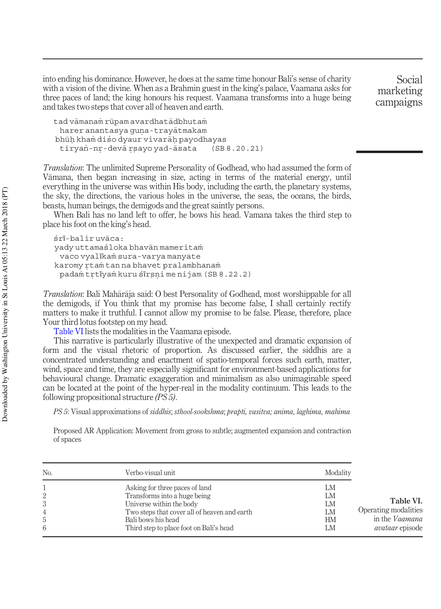into ending his dominance. However, he does at the same time honour Bali's sense of charity with a vision of the divine. When as a Brahmin guest in the king's palace, Vaamana asks for three paces of land; the king honours his request. Vaamana transforms into a huge being and takes two steps that cover all of heaven and earth.

Social marketing campaigns

```
tad vāmanam rūpam avardhatādbhutam
 harer anantasya gu
na-trayatmakam 
narcı anancasya gana "craya cmanam"<br>bhūḥ khaṁ diśo dyaur vivarāḥ payodhayas
 tiryan-nr-deva rsayo yad-asata (SB 8.20.21)
```
Translation: The unlimited Supreme Personality of Godhead, who had assumed the form of Vamana, then began increasing in size, acting in terms of the material energy, until everything in the universe was within His body, including the earth, the planetary systems, the sky, the directions, the various holes in the universe, the seas, the oceans, the birds, beasts, human beings, the demigods and the great saintly persons.

When Bali has no land left to offer, he bows his head. Vamana takes the third step to place his foot on the king's head.

```
śrī-balir uvāca:
yady uttamaśloka bhavān mameritam
 vaco vyalīkam sura-varya manyate _
karomy rtam tan na bhavet pralambhanam
 uromy i cam can na bhavec prarambhanam<br>padam trtīyam kuru śīrṣṇi me nijam (SB 8.22.2)
```
Translation: Bali Maharaja said: O best Personality of Godhead, most worshippable for all the demigods, if You think that my promise has become false, I shall certainly rectify matters to make it truthful. I cannot allow my promise to be false. Please, therefore, place Your third lotus footstep on my head.

Table VI lists the modalities in the Vaamana episode.

This narrative is particularly illustrative of the unexpected and dramatic expansion of form and the visual rhetoric of proportion. As discussed earlier, the siddhis are a concentrated understanding and enactment of spatio-temporal forces such earth, matter, wind, space and time, they are especially significant for environment-based applications for behavioural change. Dramatic exaggeration and minimalism as also unimaginable speed can be located at the point of the hyper-real in the modality continuum. This leads to the following propositional structure (PS 5).

PS 5: Visual approximations of siddhis; sthool-sookshma; prapti, vasitva; anima, laghima, mahima

Proposed AR Application: Movement from gross to subtle; augmented expansion and contraction of spaces

| N <sub>o</sub> | Verbo-visual unit                                                                                                                                                                                           | Modality                                |                                                                                      |
|----------------|-------------------------------------------------------------------------------------------------------------------------------------------------------------------------------------------------------------|-----------------------------------------|--------------------------------------------------------------------------------------|
|                | Asking for three paces of land<br>Transforms into a huge being<br>Universe within the body<br>Two steps that cover all of heaven and earth<br>Bali bows his head<br>Third step to place foot on Bali's head | LM<br>LM<br>LM<br>LM<br><b>HM</b><br>LM | Table VI.<br>Operating modalities<br>in the <i>Vaamana</i><br><i>avataar</i> episode |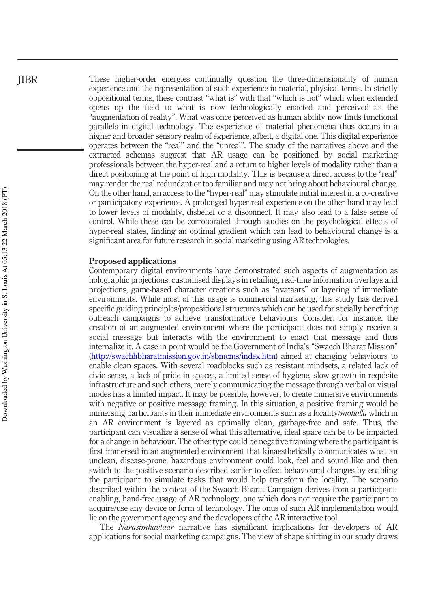These higher-order energies continually question the three-dimensionality of human experience and the representation of such experience in material, physical terms. In strictly oppositional terms, these contrast "what is" with that "which is not" which when extended opens up the field to what is now technologically enacted and perceived as the "augmentation of reality". What was once perceived as human ability now finds functional parallels in digital technology. The experience of material phenomena thus occurs in a higher and broader sensory realm of experience, albeit, a digital one. This digital experience operates between the "real" and the "unreal". The study of the narratives above and the extracted schemas suggest that AR usage can be positioned by social marketing professionals between the hyper-real and a return to higher levels of modality rather than a direct positioning at the point of high modality. This is because a direct access to the "real" may render the real redundant or too familiar and may not bring about behavioural change. On the other hand, an access to the "hyper-real" may stimulate initial interest in a co-creative or participatory experience. A prolonged hyper-real experience on the other hand may lead to lower levels of modality, disbelief or a disconnect. It may also lead to a false sense of control. While these can be corroborated through studies on the psychological effects of hyper-real states, finding an optimal gradient which can lead to behavioural change is a significant area for future research in social marketing using AR technologies.

## Proposed applications

Contemporary digital environments have demonstrated such aspects of augmentation as holographic projections, customised displays in retailing, real-time information overlays and projections, game-based character creations such as "avataars" or layering of immediate environments. While most of this usage is commercial marketing, this study has derived specific guiding principles/propositional structures which can be used for socially benefiting outreach campaigns to achieve transformative behaviours. Consider, for instance, the creation of an augmented environment where the participant does not simply receive a social message but interacts with the environment to enact that message and thus internalize it. A case in point would be the Government of India's "Swacch Bharat Mission" (http://swachhbharatmission.gov.in/sbmcms/index.htm) aimed at changing behaviours to enable clean spaces. With several roadblocks such as resistant mindsets, a related lack of civic sense, a lack of pride in spaces, a limited sense of hygiene, slow growth in requisite infrastructure and such others, merely communicating the message through verbal or visual modes has a limited impact. It may be possible, however, to create immersive environments with negative or positive message framing. In this situation, a positive framing would be immersing participants in their immediate environments such as a locality/*mohalla* which in an AR environment is layered as optimally clean, garbage-free and safe. Thus, the participant can visualize a sense of what this alternative, ideal space can be to be impacted for a change in behaviour. The other type could be negative framing where the participant is first immersed in an augmented environment that kinaesthetically communicates what an unclean, disease-prone, hazardous environment could look, feel and sound like and then switch to the positive scenario described earlier to effect behavioural changes by enabling the participant to simulate tasks that would help transform the locality. The scenario described within the context of the Swacch Bharat Campaign derives from a participantenabling, hand-free usage of AR technology, one which does not require the participant to acquire/use any device or form of technology. The onus of such AR implementation would lie on the government agency and the developers of the AR interactive tool.

The Narasimhavtaar narrative has significant implications for developers of AR applications for social marketing campaigns. The view of shape shifting in our study draws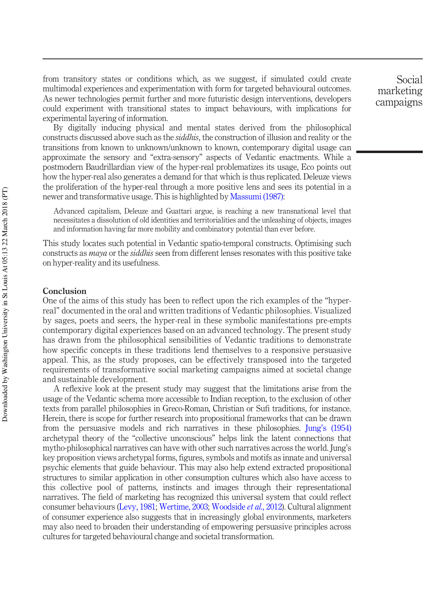from transitory states or conditions which, as we suggest, if simulated could create multimodal experiences and experimentation with form for targeted behavioural outcomes. As newer technologies permit further and more futuristic design interventions, developers could experiment with transitional states to impact behaviours, with implications for experimental layering of information.

By digitally inducing physical and mental states derived from the philosophical constructs discussed above such as the *siddhis*, the construction of illusion and reality or the transitions from known to unknown/unknown to known, contemporary digital usage can approximate the sensory and "extra-sensory" aspects of Vedantic enactments. While a postmodern Baudrillardian view of the hyper-real problematizes its usage, Eco points out how the hyper-real also generates a demand for that which is thus replicated. Deleuze views the proliferation of the hyper-real through a more positive lens and sees its potential in a newer and transformative usage. This is highlighted by Massumi (1987):

Advanced capitalism, Deleuze and Guattari argue, is reaching a new transnational level that necessitates a dissolution of old identities and territorialities and the unleashing of objects, images and information having far more mobility and combinatory potential than ever before.

This study locates such potential in Vedantic spatio-temporal constructs. Optimising such constructs as *maya* or the *siddhis* seen from different lenses resonates with this positive take on hyper-reality and its usefulness.

## Conclusion

One of the aims of this study has been to reflect upon the rich examples of the "hyperreal" documented in the oral and written traditions of Vedantic philosophies. Visualized by sages, poets and seers, the hyper-real in these symbolic manifestations pre-empts contemporary digital experiences based on an advanced technology. The present study has drawn from the philosophical sensibilities of Vedantic traditions to demonstrate how specific concepts in these traditions lend themselves to a responsive persuasive appeal. This, as the study proposes, can be effectively transposed into the targeted requirements of transformative social marketing campaigns aimed at societal change and sustainable development.

A reflexive look at the present study may suggest that the limitations arise from the usage of the Vedantic schema more accessible to Indian reception, to the exclusion of other texts from parallel philosophies in Greco-Roman, Christian or Sufi traditions, for instance. Herein, there is scope for further research into propositional frameworks that can be drawn from the persuasive models and rich narratives in these philosophies. Jung's (1954) archetypal theory of the "collective unconscious" helps link the latent connections that mytho-philosophical narratives can have with other such narratives across the world. Jung's key proposition views archetypal forms, figures, symbols and motifs as innate and universal psychic elements that guide behaviour. This may also help extend extracted propositional structures to similar application in other consumption cultures which also have access to this collective pool of patterns, instincts and images through their representational narratives. The field of marketing has recognized this universal system that could reflect consumer behaviours (Levy, 1981; Wertime, 2003; Woodside et al., 2012). Cultural alignment of consumer experience also suggests that in increasingly global environments, marketers may also need to broaden their understanding of empowering persuasive principles across cultures for targeted behavioural change and societal transformation.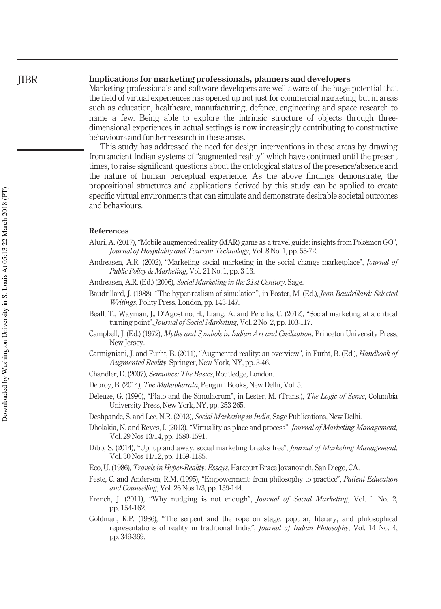## Implications for marketing professionals, planners and developers

Marketing professionals and software developers are well aware of the huge potential that the field of virtual experiences has opened up not just for commercial marketing but in areas such as education, healthcare, manufacturing, defence, engineering and space research to name a few. Being able to explore the intrinsic structure of objects through threedimensional experiences in actual settings is now increasingly contributing to constructive behaviours and further research in these areas.

This study has addressed the need for design interventions in these areas by drawing from ancient Indian systems of "augmented reality" which have continued until the present times, to raise significant questions about the ontological status of the presence/absence and the nature of human perceptual experience. As the above findings demonstrate, the propositional structures and applications derived by this study can be applied to create specific virtual environments that can simulate and demonstrate desirable societal outcomes and behaviours.

## References

- Aluri, A. (2017), "Mobile augmented reality (MAR) game as a travel guide: insights from Pokémon GO", Journal of Hospitality and Tourism Technology, Vol. 8 No. 1, pp. 55-72.
- Andreasen, A.R. (2002), "Marketing social marketing in the social change marketplace", Journal of Public Policy & Marketing, Vol. 21 No. 1, pp. 3-13.
- Andreasen, A.R. (Ed.) (2006), Social Marketing in the 21st Century, Sage.
- Baudrillard, J. (1988), "The hyper-realism of simulation", in Poster, M. (Ed.), Jean Baudrillard: Selected Writings, Polity Press, London, pp. 143-147.
- Beall, T., Wayman, J., D'Agostino, H., Liang, A. and Perellis, C. (2012), "Social marketing at a critical turning point", Journal of Social Marketing, Vol. 2 No. 2, pp. 103-117.
- Campbell, J. (Ed.) (1972), Myths and Symbols in Indian Art and Civilization, Princeton University Press, New Jersey.
- Carmigniani, J. and Furht, B. (2011), "Augmented reality: an overview", in Furht, B. (Ed.), Handbook of Augmented Reality, Springer, New York, NY, pp. 3-46.
- Chandler, D. (2007), Semiotics: The Basics, Routledge, London.
- Debroy, B. (2014), The Mahabharata, Penguin Books, New Delhi, Vol. 5.
- Deleuze, G. (1990), "Plato and the Simulacrum", in Lester, M. (Trans.), The Logic of Sense, Columbia University Press, New York, NY, pp. 253-265.
- Deshpande, S. and Lee, N.R. (2013), Social Marketing in India, Sage Publications, New Delhi.
- Dholakia, N. and Reyes, I. (2013), "Virtuality as place and process", Journal of Marketing Management, Vol. 29 Nos 13/14, pp. 1580-1591.
- Dibb, S. (2014), "Up, up and away: social marketing breaks free", *Journal of Marketing Management*, Vol. 30 Nos 11/12, pp. 1159-1185.
- Eco, U. (1986), Travels in Hyper-Reality: Essays, Harcourt Brace Jovanovich, San Diego, CA.
- Feste, C. and Anderson, R.M. (1995), "Empowerment: from philosophy to practice", Patient Education and Counselling, Vol. 26 Nos 1/3, pp. 139-144.
- French, J. (2011), "Why nudging is not enough", *Journal of Social Marketing*, Vol. 1 No. 2, pp. 154-162.
- Goldman, R.P. (1986), "The serpent and the rope on stage: popular, literary, and philosophical representations of reality in traditional India", Journal of Indian Philosophy, Vol. 14 No. 4, pp. 349-369.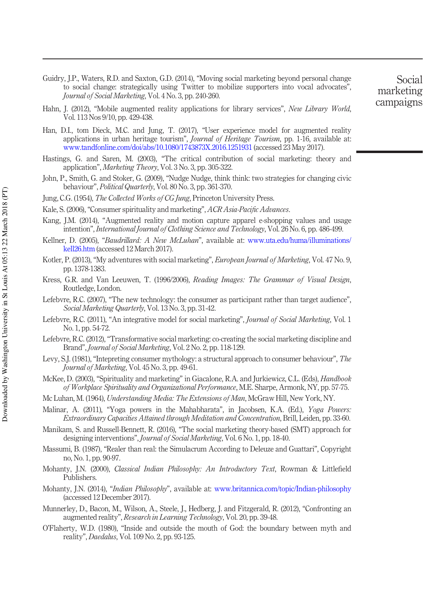- Guidry, J.P., Waters, R.D. and Saxton, G.D. (2014), "Moving social marketing beyond personal change to social change: strategically using Twitter to mobilize supporters into vocal advocates", Journal of Social Marketing, Vol. 4 No. 3, pp. 240-260.
- Hahn, J. (2012), "Mobile augmented reality applications for library services", New Library World, Vol. 113 Nos 9/10, pp. 429-438.
- Han, D.I., tom Dieck, M.C. and Jung, T. (2017), "User experience model for augmented reality applications in urban heritage tourism", *Journal of Heritage Tourism*, pp. 1-16, available at: www.tandfonline.com/doi/abs/10.1080/1743873X.2016.1251931 (accessed 23 May 2017).
- Hastings, G. and Saren, M. (2003), "The critical contribution of social marketing: theory and application", Marketing Theory, Vol. 3 No. 3, pp. 305-322.
- John, P., Smith, G. and Stoker, G. (2009), "Nudge Nudge, think think: two strategies for changing civic behaviour", Political Quarterly, Vol. 80 No. 3, pp. 361-370.
- Jung, C.G. (1954), The Collected Works of CG Jung, Princeton University Press.
- Kale, S. (2006), "Consumer spirituality and marketing", ACR Asia-Pacific Advances.
- Kang, J.M. (2014), "Augmented reality and motion capture apparel e-shopping values and usage intention", International Journal of Clothing Science and Technology, Vol. 26 No. 6, pp. 486-499.
- Kellner, D. (2005), "*Baudrillard: A New McLuhan*", available at: www.uta.edu/huma/illuminations/ kell26.htm (accessed 12 March 2017).
- Kotler, P. (2013), "My adventures with social marketing", European Journal of Marketing, Vol. 47 No. 9, pp. 1378-1383.
- Kress, G.R. and Van Leeuwen, T. (1996/2006), Reading Images: The Grammar of Visual Design, Routledge, London.
- Lefebvre, R.C. (2007), "The new technology: the consumer as participant rather than target audience", Social Marketing Quarterly, Vol. 13 No. 3, pp. 31-42.
- Lefebvre, R.C. (2011), "An integrative model for social marketing", Journal of Social Marketing, Vol. 1 No. 1, pp. 54-72.
- Lefebvre, R.C. (2012), "Transformative social marketing: co-creating the social marketing discipline and Brand", Journal of Social Marketing, Vol. 2 No. 2, pp. 118-129.
- Levy, S.J. (1981), "Intepreting consumer mythology: a structural approach to consumer behaviour", The Journal of Marketing, Vol. 45 No. 3, pp. 49-61.
- McKee, D. (2003), "Spirituality and marketing" in Giacalone, R.A. and Jurkiewicz, C.L. (Eds), *Handbook* of Workplace Spirituality and Organizational Performance, M.E. Sharpe, Armonk, NY, pp. 57-75.
- Mc Luhan, M. (1964), Understanding Media: The Extensions of Man, McGraw Hill, New York, NY.
- Malinar, A. (2011), "Yoga powers in the Mahabharata", in Jacobsen, K.A. (Ed.), Yoga Powers: Extraordinary Capacities Attained through Meditation and Concentration, Brill, Leiden, pp. 33-60.
- Manikam, S. and Russell-Bennett, R. (2016), "The social marketing theory-based (SMT) approach for designing interventions", Journal of Social Marketing, Vol. 6 No. 1, pp. 18-40.
- Massumi, B. (1987), "Realer than real: the Simulacrum According to Deleuze and Guattari", Copyright no, No. 1, pp. 90-97.
- Mohanty, J.N. (2000), Classical Indian Philosophy: An Introductory Text, Rowman & Littlefield Publishers.
- Mohanty, J.N. (2014), "Indian Philosophy", available at: www.britannica.com/topic/Indian-philosophy (accessed 12 December 2017).
- Munnerley, D., Bacon, M., Wilson, A., Steele, J., Hedberg, J. and Fitzgerald, R. (2012), "Confronting an augmented reality", Research in Learning Technology, Vol. 20, pp. 39-48.
- O'Flaherty, W.D. (1980), "Inside and outside the mouth of God: the boundary between myth and reality", Daedalus, Vol. 109 No. 2, pp. 93-125.